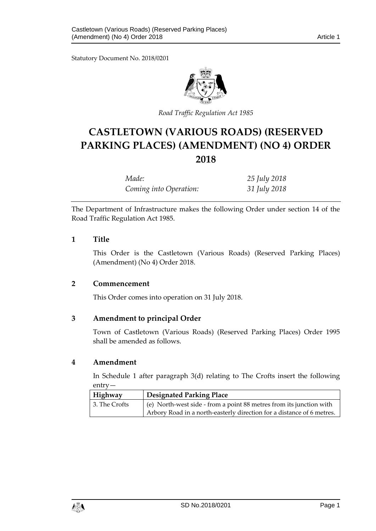Statutory Document No. 2018/0201



*Road Traffic Regulation Act 1985*

# **CASTLETOWN (VARIOUS ROADS) (RESERVED PARKING PLACES) (AMENDMENT) (NO 4) ORDER 2018**

| Made:                  | 25 July 2018 |
|------------------------|--------------|
| Coming into Operation: | 31 July 2018 |

The Department of Infrastructure makes the following Order under section 14 of the Road Traffic Regulation Act 1985.

## **1 Title**

This Order is the Castletown (Various Roads) (Reserved Parking Places) (Amendment) (No 4) Order 2018.

## **2 Commencement**

This Order comes into operation on 31 July 2018.

## **3 Amendment to principal Order**

Town of Castletown (Various Roads) (Reserved Parking Places) Order 1995 shall be amended as follows.

#### **4 Amendment**

In Schedule 1 after paragraph 3(d) relating to The Crofts insert the following entry—

| Highway       | <b>Designated Parking Place</b>                                       |
|---------------|-----------------------------------------------------------------------|
| 3. The Crofts | (e) North-west side - from a point 88 metres from its junction with   |
|               | Arbory Road in a north-easterly direction for a distance of 6 metres. |

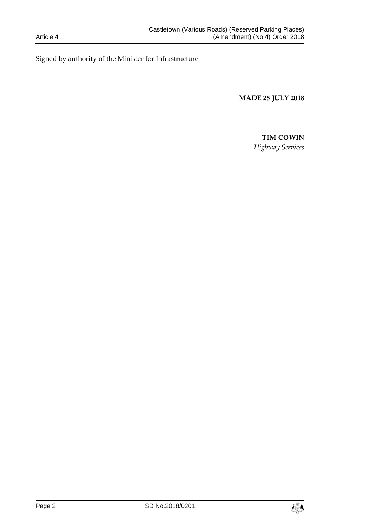Signed by authority of the Minister for Infrastructure

**MADE 25 JULY 2018**

# **TIM COWIN**

*Highway Services*